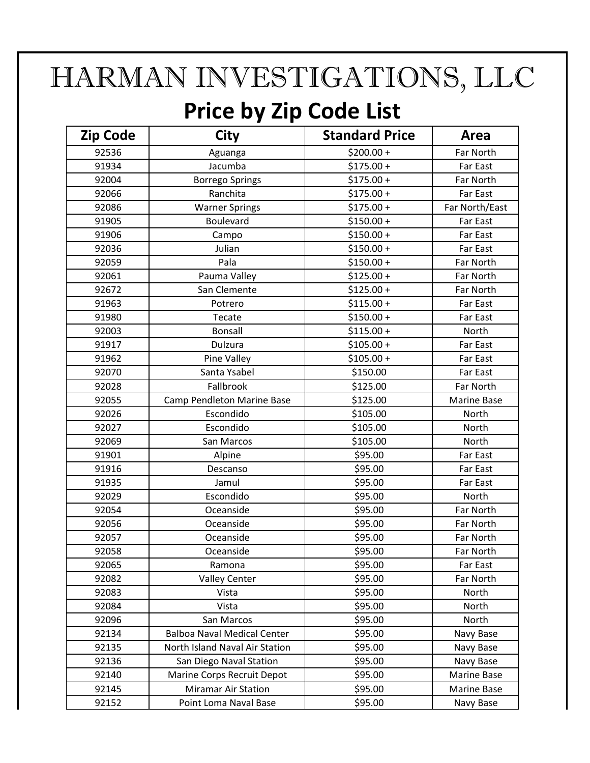## HARMAN INVESTIGATIONS, LLC

## **Price by Zip Code List**

| <b>Zip Code</b> | City                               | <b>Standard Price</b> | Area               |
|-----------------|------------------------------------|-----------------------|--------------------|
| 92536           | Aguanga                            | $$200.00 +$           | Far North          |
| 91934           | Jacumba                            | $$175.00 +$           | Far East           |
| 92004           | <b>Borrego Springs</b>             | $$175.00 +$           | Far North          |
| 92066           | Ranchita                           | $$175.00 +$           | Far East           |
| 92086           | <b>Warner Springs</b>              | $$175.00 +$           | Far North/East     |
| 91905           | Boulevard                          | $$150.00 +$           | Far East           |
| 91906           | Campo                              | $$150.00 +$           | Far East           |
| 92036           | Julian                             | $$150.00 +$           | Far East           |
| 92059           | Pala                               | $$150.00 +$           | Far North          |
| 92061           | Pauma Valley                       | $$125.00 +$           | Far North          |
| 92672           | San Clemente                       | $$125.00 +$           | Far North          |
| 91963           | Potrero                            | $$115.00 +$           | Far East           |
| 91980           | Tecate                             | $$150.00 +$           | Far East           |
| 92003           | Bonsall                            | $$115.00 +$           | North              |
| 91917           | Dulzura                            | $$105.00 +$           | Far East           |
| 91962           | Pine Valley                        | $$105.00 +$           | Far East           |
| 92070           | Santa Ysabel                       | \$150.00              | Far East           |
| 92028           | Fallbrook                          | \$125.00              | Far North          |
| 92055           | Camp Pendleton Marine Base         | \$125.00              | <b>Marine Base</b> |
| 92026           | Escondido                          | \$105.00              | North              |
| 92027           | Escondido                          | \$105.00              | North              |
| 92069           | San Marcos                         | \$105.00              | North              |
| 91901           | Alpine                             | \$95.00               | Far East           |
| 91916           | Descanso                           | \$95.00               | Far East           |
| 91935           | Jamul                              | \$95.00               | Far East           |
| 92029           | Escondido                          | \$95.00               | North              |
| 92054           | Oceanside                          | \$95.00               | Far North          |
| 92056           | Oceanside                          | \$95.00               | Far North          |
| 92057           | Oceanside                          | \$95.00               | Far North          |
| 92058           | Oceanside                          | \$95.00               | Far North          |
| 92065           | Ramona                             | \$95.00               | Far East           |
| 92082           | <b>Valley Center</b>               | \$95.00               | Far North          |
| 92083           | Vista                              | \$95.00               | North              |
| 92084           | Vista                              | \$95.00               | North              |
| 92096           | San Marcos                         | \$95.00               | North              |
| 92134           | <b>Balboa Naval Medical Center</b> | \$95.00               | Navy Base          |
| 92135           | North Island Naval Air Station     | \$95.00               | Navy Base          |
| 92136           | San Diego Naval Station            | \$95.00               | Navy Base          |
| 92140           | Marine Corps Recruit Depot         | \$95.00               | Marine Base        |
| 92145           | <b>Miramar Air Station</b>         | \$95.00               | Marine Base        |
| 92152           | Point Loma Naval Base              | \$95.00               | Navy Base          |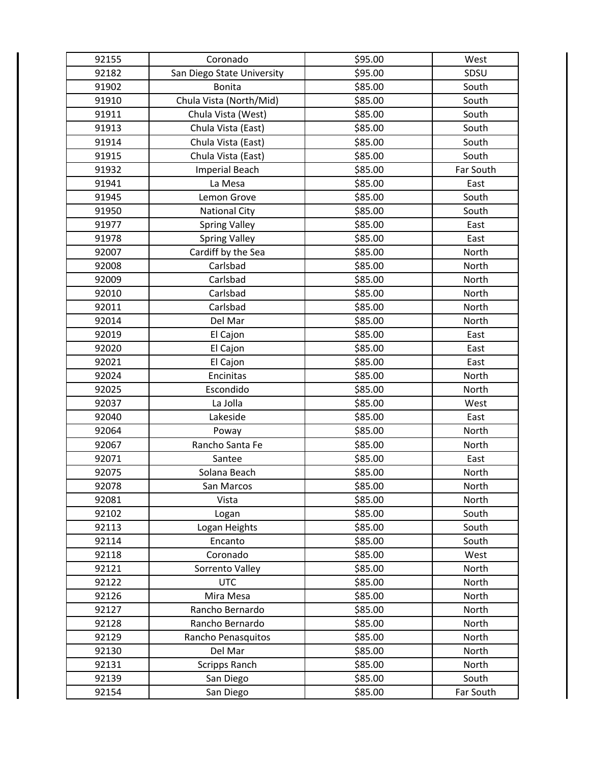| 92155 | Coronado                   | \$95.00 | West      |
|-------|----------------------------|---------|-----------|
| 92182 | San Diego State University | \$95.00 | SDSU      |
| 91902 | <b>Bonita</b>              | \$85.00 | South     |
| 91910 | Chula Vista (North/Mid)    | \$85.00 | South     |
| 91911 | Chula Vista (West)         | \$85.00 | South     |
| 91913 | Chula Vista (East)         | \$85.00 | South     |
| 91914 | Chula Vista (East)         | \$85.00 | South     |
| 91915 | Chula Vista (East)         | \$85.00 | South     |
| 91932 | <b>Imperial Beach</b>      | \$85.00 | Far South |
| 91941 | La Mesa                    | \$85.00 | East      |
| 91945 | Lemon Grove                | \$85.00 | South     |
| 91950 | <b>National City</b>       | \$85.00 | South     |
| 91977 | <b>Spring Valley</b>       | \$85.00 | East      |
| 91978 | <b>Spring Valley</b>       | \$85.00 | East      |
| 92007 | Cardiff by the Sea         | \$85.00 | North     |
| 92008 | Carlsbad                   | \$85.00 | North     |
| 92009 | Carlsbad                   | \$85.00 | North     |
| 92010 | Carlsbad                   | \$85.00 | North     |
| 92011 | Carlsbad                   | \$85.00 | North     |
| 92014 | Del Mar                    | \$85.00 | North     |
| 92019 | El Cajon                   | \$85.00 | East      |
| 92020 | El Cajon                   | \$85.00 | East      |
| 92021 | El Cajon                   | \$85.00 | East      |
| 92024 | Encinitas                  | \$85.00 | North     |
| 92025 | Escondido                  | \$85.00 | North     |
| 92037 | La Jolla                   | \$85.00 | West      |
| 92040 | Lakeside                   | \$85.00 | East      |
| 92064 | Poway                      | \$85.00 | North     |
| 92067 | Rancho Santa Fe            | \$85.00 | North     |
| 92071 | Santee                     | \$85.00 | East      |
| 92075 | Solana Beach               | \$85.00 | North     |
| 92078 | San Marcos                 | \$85.00 | North     |
| 92081 | Vista                      | \$85.00 | North     |
| 92102 | Logan                      | \$85.00 | South     |
| 92113 | Logan Heights              | \$85.00 | South     |
| 92114 | Encanto                    | \$85.00 | South     |
| 92118 | Coronado                   | \$85.00 | West      |
| 92121 | Sorrento Valley            | \$85.00 | North     |
| 92122 | <b>UTC</b>                 | \$85.00 | North     |
| 92126 | Mira Mesa                  | \$85.00 | North     |
| 92127 | Rancho Bernardo            | \$85.00 | North     |
| 92128 | Rancho Bernardo            | \$85.00 | North     |
| 92129 | Rancho Penasquitos         | \$85.00 | North     |
| 92130 | Del Mar                    | \$85.00 | North     |
| 92131 | Scripps Ranch              | \$85.00 | North     |
| 92139 | San Diego                  | \$85.00 | South     |
| 92154 | San Diego                  | \$85.00 | Far South |